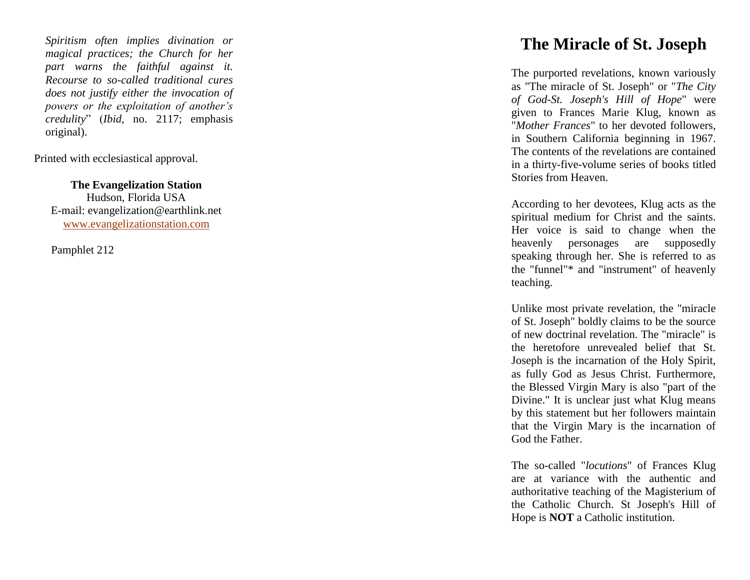*Spiritism often implies divination or magical practices; the Church for her part warns the faithful against it. Recourse to so -called traditional cures does not justify either the invocation of powers or the exploitation of another's credulity*" (*Ibid,* no. 2117; emphasis original).

Printed with ecclesiastical approval.

**The Evangelization Station** Hudson, Florida USA E -mail: evangelization@earthlink.net [www.evangelizationstation.com](http://www.pjpiisoe.org/)

Pamphlet 212

## **The Miracle of St. Joseph**

The purported revelations, known variously as "The miracle of St. Joseph" or "*The City of God -St. Joseph's Hill of Hope*" were given to Frances Marie Klug, known as "*Mother Frances*" to her devoted followers, in Southern California beginning in 1967. The contents of the revelations are contained in a thirty -five -volume series of books titled Stories from Heaven.

According to her devotees, Klug acts as the spiritual medium for Christ and the saints. Her voice is said to change when the heavenly personages are supposedly speaking through her. She is referred to as the "funnel"\* and "instrument" of heavenly teaching.

Unlike most private revelation, the "miracle of St. Joseph" boldly claims to be the source of new doctrinal revelation. The "miracle" is the heretofore unrevealed belief that St. Joseph is the incarnation of the Holy Spirit, as fully God as Jesus Christ. Furthermore, the Blessed Virgin Mary is also "part of the Divine." It is unclear just what Klug means by this statement but her followers maintain that the Virgin Mary is the incarnation of God the Father.

The so -called "*locutions*" of Frances Klug are at variance with the authentic and authoritative teaching of the Magisterium of the Catholic Church. St Joseph's Hill of Hope is **NOT** a Catholic institution.